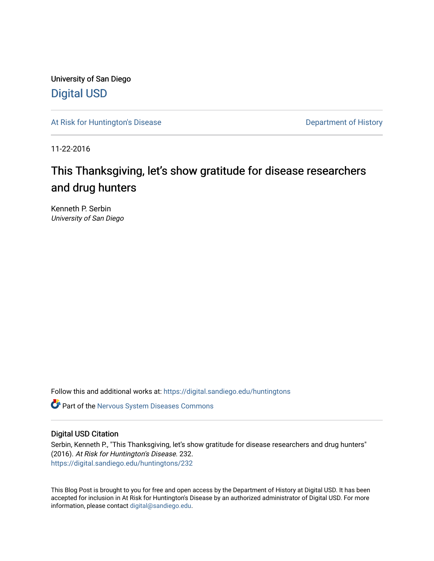University of San Diego [Digital USD](https://digital.sandiego.edu/)

[At Risk for Huntington's Disease](https://digital.sandiego.edu/huntingtons) **Department of History** Department of History

11-22-2016

# This Thanksgiving, let's show gratitude for disease researchers and drug hunters

Kenneth P. Serbin University of San Diego

Follow this and additional works at: [https://digital.sandiego.edu/huntingtons](https://digital.sandiego.edu/huntingtons?utm_source=digital.sandiego.edu%2Fhuntingtons%2F232&utm_medium=PDF&utm_campaign=PDFCoverPages)

**C** Part of the [Nervous System Diseases Commons](http://network.bepress.com/hgg/discipline/928?utm_source=digital.sandiego.edu%2Fhuntingtons%2F232&utm_medium=PDF&utm_campaign=PDFCoverPages)

# Digital USD Citation

Serbin, Kenneth P., "This Thanksgiving, let's show gratitude for disease researchers and drug hunters" (2016). At Risk for Huntington's Disease. 232. [https://digital.sandiego.edu/huntingtons/232](https://digital.sandiego.edu/huntingtons/232?utm_source=digital.sandiego.edu%2Fhuntingtons%2F232&utm_medium=PDF&utm_campaign=PDFCoverPages)

This Blog Post is brought to you for free and open access by the Department of History at Digital USD. It has been accepted for inclusion in At Risk for Huntington's Disease by an authorized administrator of Digital USD. For more information, please contact [digital@sandiego.edu.](mailto:digital@sandiego.edu)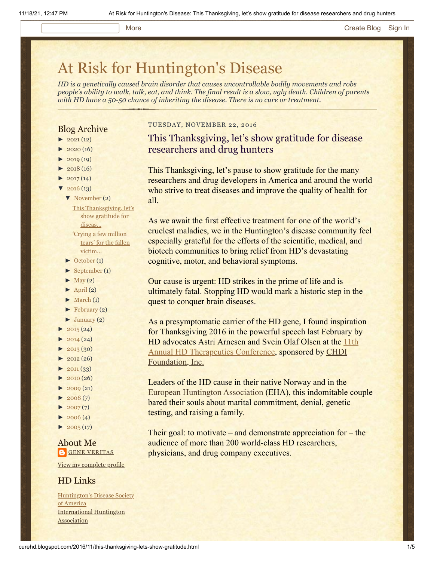#### More **[Create Blog](https://www.blogger.com/home#create) [Sign In](https://www.blogger.com/)**

# [At Risk for Huntington's Disease](http://curehd.blogspot.com/)

*HD is a genetically caused brain disorder that causes uncontrollable bodily movements and robs people's ability to walk, talk, eat, and think. The final result is a slow, ugly death. Children of parents with HD have a 50-50 chance of inheriting the disease. There is no cure or treatment.*

# Blog Archive

- $\blacktriangleright$  [2021](http://curehd.blogspot.com/2021/) (12)
- $\blacktriangleright$  [2020](http://curehd.blogspot.com/2020/) (16)
- $\blacktriangleright$  [2019](http://curehd.blogspot.com/2019/) (19)
- $\blacktriangleright$  [2018](http://curehd.blogspot.com/2018/) (16)
- $\blacktriangleright$  [2017](http://curehd.blogspot.com/2017/) (14)  $'$  [2016](http://curehd.blogspot.com/2016/) (13)
- [▼](javascript:void(0)) [November](http://curehd.blogspot.com/2016/11/) (2)
	- This [Thanksgiving,](http://curehd.blogspot.com/2016/11/this-thanksgiving-lets-show-gratitude.html) let's show gratitude for diseas...
	- 'Crying a few million tears' for the fallen [victim...](http://curehd.blogspot.com/2016/11/crying-few-million-tears-for-fallen.html)
- [►](javascript:void(0)) [October](http://curehd.blogspot.com/2016/10/) (1)
- $\blacktriangleright$  [September](http://curehd.blogspot.com/2016/09/) (1)
- $\blacktriangleright$  [May](http://curehd.blogspot.com/2016/05/) (2)
- $\blacktriangleright$  [April](http://curehd.blogspot.com/2016/04/) (2)
- $\blacktriangleright$  [March](http://curehd.blogspot.com/2016/03/) (1)
- $\blacktriangleright$  [February](http://curehd.blogspot.com/2016/02/) (2)
- $\blacktriangleright$  [January](http://curehd.blogspot.com/2016/01/) (2)
- $\blacktriangleright$  [2015](http://curehd.blogspot.com/2015/) (24)
- $\blacktriangleright$  [2014](http://curehd.blogspot.com/2014/) (24)
- $\blacktriangleright$  [2013](http://curehd.blogspot.com/2013/) (30)
- $\blacktriangleright$  [2012](http://curehd.blogspot.com/2012/) (26)
- $\blacktriangleright$  [2011](http://curehd.blogspot.com/2011/) (33)
- [►](javascript:void(0)) [2010](http://curehd.blogspot.com/2010/) (26)
- $\blacktriangleright$  [2009](http://curehd.blogspot.com/2009/) (21)
- $\blacktriangleright$  [2008](http://curehd.blogspot.com/2008/) $(7)$
- $\blacktriangleright$  [2007](http://curehd.blogspot.com/2007/) $(7)$
- $\blacktriangleright$  [2006](http://curehd.blogspot.com/2006/) (4)
- $\blacktriangleright$  [2005](http://curehd.blogspot.com/2005/) (17)

# About Me **GENE [VERITAS](https://www.blogger.com/profile/10911736205741688185)**

View my [complete](https://www.blogger.com/profile/10911736205741688185) profile

## HD Links

[Huntington's](http://www.hdsa.org/) Disease Society of America [International](http://www.huntington-assoc.com/) Huntington **Association** 

#### TUESDAY, NOVEMBER 22, 2016

# This Thanksgiving, let's show gratitude for disease researchers and drug hunters

This Thanksgiving, let's pause to show gratitude for the many researchers and drug developers in America and around the world who strive to treat diseases and improve the quality of health for all.

As we await the first effective treatment for one of the world's cruelest maladies, we in the Huntington's disease community feel especially grateful for the efforts of the scientific, medical, and biotech communities to bring relief from HD's devastating cognitive, motor, and behavioral symptoms.

Our cause is urgent: HD strikes in the prime of life and is ultimately fatal. Stopping HD would mark a historic step in the quest to conquer brain diseases.

As a presymptomatic carrier of the HD gene, I found inspiration for Thanksgiving 2016 in the powerful speech last February by [HD advocates Astri Arnesen and Svein Olaf Olsen at the 11th](http://curehd.blogspot.com/2016/02/chief-huntingtons-disease-drug-hunter.html) [Annual HD Therapeutics Conference, sponsored by CHDI](http://chdifoundation.org/) Foundation, Inc.

Leaders of the HD cause in their native Norway and in the [European Huntington](http://eurohuntington.org/) [Association](http://eurohuntington.org/) (EHA), this indomitable couple bared their souls about marital commitment, denial, genetic testing, and raising a family.

Their goal: to motivate – and demonstrate appreciation for  $-$  the audience of more than 200 world-class HD researchers, physicians, and drug company executives.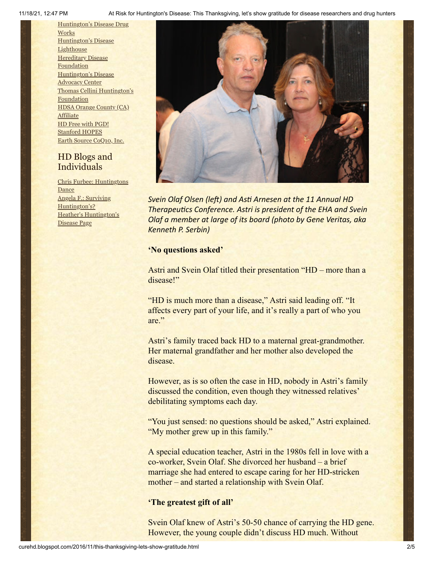11/18/21, 12:47 PM At Risk for Huntington's Disease: This Thanksgiving, let's show gratitude for disease researchers and drug hunters

[Huntington's](http://hddrugworks.org/) Disease Drug **Works** [Huntington's](http://www.hdlighthouse.org/) Disease **Lighthouse Hereditary Disease [Foundation](http://www.hdfoundation.org/)** [Huntington's](http://www.hdac.org/) Disease **Advocacy Center** Thomas [Cellini Huntington's](http://www.ourtchfoundation.org/) Foundation HDSA Orange County (CA) **[Affiliate](http://www.hdsaoc.org/)** HD Free with [PGD!](http://www.hdfreewithpgd.com/) [Stanford](http://www.stanford.edu/group/hopes/) HOPES Earth Source [CoQ10,](http://www.escoq10.com/) Inc.

# HD Blogs and Individuals

Chris Furbee: [Huntingtons](http://www.huntingtonsdance.org/) Dance Angela F.: Surviving [Huntington's?](http://survivinghuntingtons.blogspot.com/) Heather's [Huntington's](http://heatherdugdale.angelfire.com/) Disease Page



*Svein Olaf Olsen (left) and Asti Arnesen at the 11 Annual HD Therapeutics Conference. Astri is president of the EHA and Svein Olaf a member at large of its board (photo by Gene Veritas, aka Kenneth P. Serbin)*

# **'No questions asked'**

Astri and Svein Olaf titled their presentation "HD – more than a disease!"

"HD is much more than a disease," Astri said leading off. "It affects every part of your life, and it's really a part of who you are."

Astri's family traced back HD to a maternal great-grandmother. Her maternal grandfather and her mother also developed the disease.

However, as is so often the case in HD, nobody in Astri's family discussed the condition, even though they witnessed relatives' debilitating symptoms each day.

"You just sensed: no questions should be asked," Astri explained. "My mother grew up in this family."

A special education teacher, Astri in the 1980s fell in love with a co-worker, Svein Olaf. She divorced her husband – a brief marriage she had entered to escape caring for her HD-stricken mother – and started a relationship with Svein Olaf.

# **'The greatest gift of all'**

Svein Olaf knew of Astri's 50-50 chance of carrying the HD gene. However, the young couple didn't discuss HD much. Without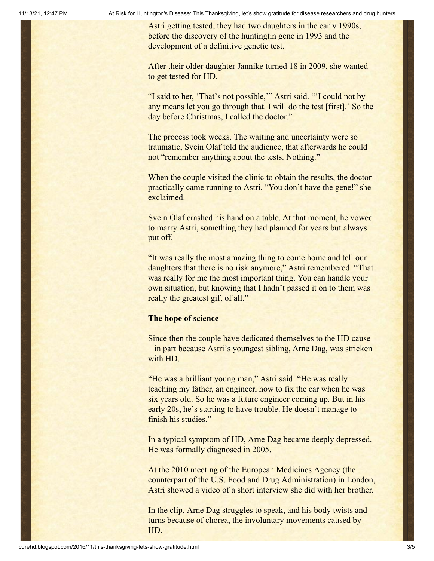Astri getting tested, they had two daughters in the early 1990s, before the discovery of the huntingtin gene in 1993 and the development of a definitive genetic test.

After their older daughter Jannike turned 18 in 2009, she wanted to get tested for HD.

"I said to her, 'That's not possible,'" Astri said. "'I could not by any means let you go through that. I will do the test [first].' So the day before Christmas, I called the doctor."

The process took weeks. The waiting and uncertainty were so traumatic, Svein Olaf told the audience, that afterwards he could not "remember anything about the tests. Nothing."

When the couple visited the clinic to obtain the results, the doctor practically came running to Astri. "You don't have the gene!" she exclaimed.

Svein Olaf crashed his hand on a table. At that moment, he vowed to marry Astri, something they had planned for years but always put off.

"It was really the most amazing thing to come home and tell our daughters that there is no risk anymore," Astri remembered. "That was really for me the most important thing. You can handle your own situation, but knowing that I hadn't passed it on to them was really the greatest gift of all."

#### **The hope of science**

Since then the couple have dedicated themselves to the HD cause – in part because Astri's youngest sibling, Arne Dag, was stricken with HD.

"He was a brilliant young man," Astri said. "He was really teaching my father, an engineer, how to fix the car when he was six years old. So he was a future engineer coming up. But in his early 20s, he's starting to have trouble. He doesn't manage to finish his studies."

In a typical symptom of HD, Arne Dag became deeply depressed. He was formally diagnosed in 2005.

At the 2010 meeting of the European Medicines Agency (the counterpart of the U.S. Food and Drug Administration) in London, Astri showed a video of a short interview she did with her brother.

In the clip, Arne Dag struggles to speak, and his body twists and turns because of chorea, the involuntary movements caused by HD.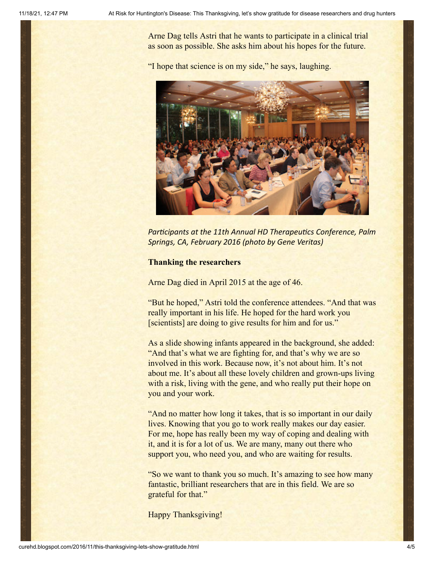Arne Dag tells Astri that he wants to participate in a clinical trial as soon as possible. She asks him about his hopes for the future.

"I hope that science is on my side," he says, laughing.



*Participants at the 11th Annual HD Therapeutics Conference, Palm Springs, CA, February 2016 (photo by Gene Veritas)*

## **Thanking the researchers**

Arne Dag died in April 2015 at the age of 46.

"But he hoped," Astri told the conference attendees. "And that was really important in his life. He hoped for the hard work you [scientists] are doing to give results for him and for us."

As a slide showing infants appeared in the background, she added: "And that's what we are fighting for, and that's why we are so involved in this work. Because now, it's not about him. It's not about me. It's about all these lovely children and grown-ups living with a risk, living with the gene, and who really put their hope on you and your work.

"And no matter how long it takes, that is so important in our daily lives. Knowing that you go to work really makes our day easier. For me, hope has really been my way of coping and dealing with it, and it is for a lot of us. We are many, many out there who support you, who need you, and who are waiting for results.

"So we want to thank you so much. It's amazing to see how many fantastic, brilliant researchers that are in this field. We are so grateful for that."

Happy Thanksgiving!